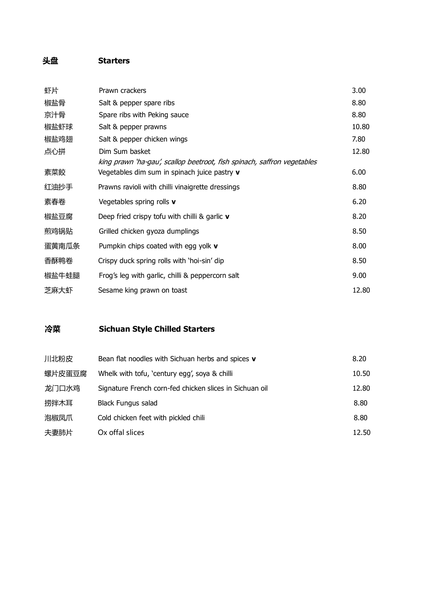## **头盘 Starters**

| 虾片    | Prawn crackers                                                          | 3.00  |
|-------|-------------------------------------------------------------------------|-------|
| 椒盐骨   | Salt & pepper spare ribs                                                | 8.80  |
| 京汁骨   | Spare ribs with Peking sauce                                            | 8.80  |
| 椒盐虾球  | Salt & pepper prawns                                                    | 10.80 |
| 椒盐鸡翅  | Salt & pepper chicken wings                                             | 7.80  |
| 点心拼   | Dim Sum basket                                                          | 12.80 |
|       | king prawn 'ha-gau', scallop beetroot, fish spinach, saffron vegetables |       |
| 素菜餃   | Vegetables dim sum in spinach juice pastry v                            | 6.00  |
| 红油抄手  | Prawns ravioli with chilli vinaigrette dressings                        | 8.80  |
| 素春卷   | Vegetables spring rolls v                                               | 6.20  |
| 椒盐豆腐  | Deep fried crispy tofu with chilli & garlic $\mathbf v$                 | 8.20  |
| 煎鸡锅贴  | Grilled chicken gyoza dumplings                                         | 8.50  |
| 蛋黄南瓜条 | Pumpkin chips coated with egg yolk $\mathbf v$                          | 8.00  |
| 香酥鸭卷  | Crispy duck spring rolls with 'hoi-sin' dip                             | 8.50  |
| 椒盐牛蛙腿 | Frog's leg with garlic, chilli & peppercorn salt                        | 9.00  |
| 芝麻大虾  | Sesame king prawn on toast                                              | 12.80 |

## **冷菜 Sichuan Style Chilled Starters**

| 川北粉皮   | Bean flat noodles with Sichuan herbs and spices v       | 8.20  |
|--------|---------------------------------------------------------|-------|
| 螺片皮蛋豆腐 | Whelk with tofu, 'century egg', soya & chilli           | 10.50 |
| 龙门口水鸡  | Signature French corn-fed chicken slices in Sichuan oil | 12.80 |
| 捞拌木耳   | <b>Black Fungus salad</b>                               | 8.80  |
| 泡椒凤爪   | Cold chicken feet with pickled chili                    | 8.80  |
| 夫妻肺片   | Ox offal slices                                         | 12.50 |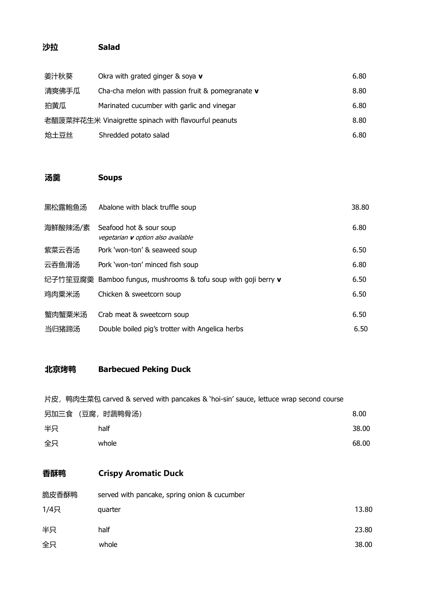### **沙拉 Salad**

| 姜汁秋葵                                                 | Okra with grated ginger $\&$ soya $v$                      | 6.80 |
|------------------------------------------------------|------------------------------------------------------------|------|
| 清爽佛手瓜                                                | Cha-cha melon with passion fruit & pomegranate $\mathbf v$ | 8.80 |
| 拍黄瓜                                                  | Marinated cucumber with garlic and vinegar                 | 6.80 |
| 老醋菠菜拌花生米 Vinaigrette spinach with flavourful peanuts |                                                            | 8.80 |
| 炝土豆丝                                                 | Shredded potato salad                                      | 6.80 |

### **汤羹 Soups**

| 黑松露鲍鱼汤  | Abalone with black truffle soup                                      | 38.80 |
|---------|----------------------------------------------------------------------|-------|
| 海鲜酸辣汤/素 | Seafood hot & sour soup<br>vegetarian <b>v</b> option also available | 6.80  |
| 紫菜云吞汤   | Pork 'won-ton' & seaweed soup                                        | 6.50  |
| 云吞鱼滑汤   | Pork 'won-ton' minced fish soup                                      | 6.80  |
| 纪子竹笙豆腐羹 | Bamboo fungus, mushrooms & tofu soup with goji berry v               | 6.50  |
| 鸡肉粟米汤   | Chicken & sweetcorn soup                                             | 6.50  |
| 蟹肉蟹粟米汤  | Crab meat & sweetcorn soup                                           | 6.50  |
| 当归猪蹄汤   | Double boiled pig's trotter with Angelica herbs                      | 6.50  |

### **北京烤鸭 Barbecued Peking Duck**

片皮, 鸭肉生菜包 carved & served with pancakes & 'hoi-sin' sauce, lettuce wrap second course

|    | 另加三食 (豆腐, 时蔬鸭骨汤) | 8.00  |
|----|------------------|-------|
| 半只 | half             | 38.00 |
| 全只 | whole            | 68.00 |

## **香酥鸭 Crispy Aromatic Duck**

| 脆皮香酥鸭 | served with pancake, spring onion & cucumber |       |
|-------|----------------------------------------------|-------|
| 1/4只  | quarter                                      | 13.80 |
| 半只    | half                                         | 23.80 |
| 全只    | whole                                        | 38.00 |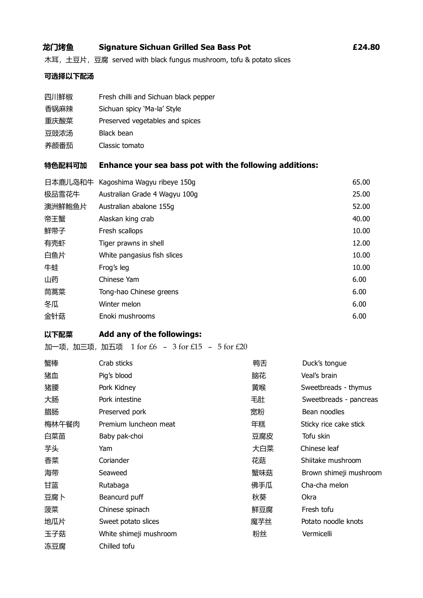#### **龙门烤鱼 Signature Sichuan Grilled Sea Bass Pot £24.80**

木耳, 土豆片, 豆腐 served with black fungus mushroom, tofu & potato slices

#### **可选择以下配汤**

- 四川鲜椒 Fresh chilli and Sichuan black pepper
- 香锅麻辣 Sichuan spicy 'Ma-la' Style
- 重庆酸菜 Preserved vegetables and spices
- 豆豉浓汤 Black bean
- 养颜番茄 Classic tomato

#### **特色配料可加 Enhance your sea bass pot with the following additions:**

| 日本鹿儿岛和牛 | Kagoshima Wagyu ribeye 150g   | 65.00 |
|---------|-------------------------------|-------|
| 极品雪花牛   | Australian Grade 4 Wagyu 100g | 25.00 |
| 澳洲鲜鲍鱼片  | Australian abalone 155q       | 52.00 |
| 帝王蟹     | Alaskan king crab             | 40.00 |
| 鲜带子     | Fresh scallops                | 10.00 |
| 有壳虾     | Tiger prawns in shell         | 12.00 |
| 白鱼片     | White pangasius fish slices   | 10.00 |
| 牛蛙      | Frog's leg                    | 10.00 |
| 山药      | Chinese Yam                   | 6.00  |
| 茼蒿菜     | Tong-hao Chinese greens       | 6.00  |
| 冬瓜      | Winter melon                  | 6.00  |
| 金针菇     | Enoki mushrooms               | 6.00  |
|         |                               |       |

#### **以下配菜 Add any of the followings:**

加一项,加三项,加五项  $1$  for  $£6 - 3$  for  $£15 - 5$  for  $£20$ 

| 蟹棒    | Crab sticks            | 鸭舌  | Duck's tongue          |
|-------|------------------------|-----|------------------------|
| 猪血    | Pig's blood            | 脑花  | Veal's brain           |
| 猪腰    | Pork Kidney            | 黄喉  | Sweetbreads - thymus   |
| 大肠    | Pork intestine         | 毛肚  | Sweetbreads - pancreas |
| 腊肠    | Preserved pork         | 宽粉  | Bean noodles           |
| 梅林午餐肉 | Premium luncheon meat  | 年糕  | Sticky rice cake stick |
| 白菜苗   | Baby pak-choi          | 豆腐皮 | Tofu skin              |
| 芋头    | Yam                    | 大白菜 | Chinese leaf           |
| 香菜    | Coriander              | 花菇  | Shiitake mushroom      |
| 海带    | Seaweed                | 蟹味菇 | Brown shimeji mushroom |
| 甘蓝    | Rutabaga               | 佛手瓜 | Cha-cha melon          |
| 豆腐ト   | Beancurd puff          | 秋葵  | <b>Okra</b>            |
| 菠菜    | Chinese spinach        | 鲜豆腐 | Fresh tofu             |
| 地瓜片   | Sweet potato slices    | 魔芋丝 | Potato noodle knots    |
| 玉子菇   | White shimeji mushroom | 粉丝  | Vermicelli             |
| 冻豆腐   | Chilled tofu           |     |                        |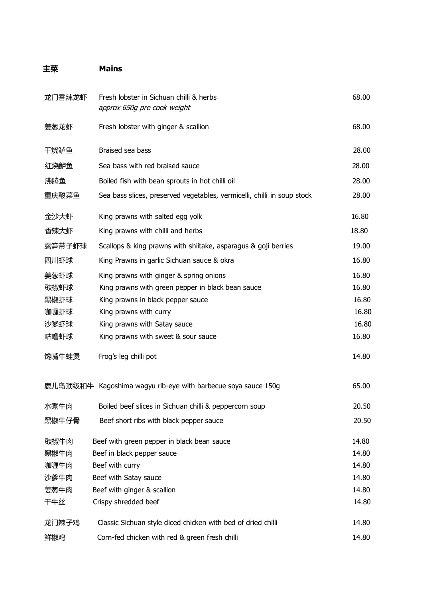## **主菜 Mains**

| 龙门香辣龙虾 | Fresh lobster in Sichuan chilli & herbs<br>approx 650g pre cook weight  | 68.00 |
|--------|-------------------------------------------------------------------------|-------|
| 姜葱龙虾   | Fresh lobster with ginger & scallion                                    | 68.00 |
| 干烧鲈鱼   | Braised sea bass                                                        | 28.00 |
| 红烧鲈鱼   | Sea bass with red braised sauce                                         | 28.00 |
| 沸腾鱼    | Boiled fish with bean sprouts in hot chilli oil                         | 28.00 |
| 重庆酸菜鱼  | Sea bass slices, preserved vegetables, vermicelli, chilli in soup stock | 28.00 |
| 金沙大虾   | King prawns with salted egg yolk                                        | 16.80 |
| 香辣大虾   | King prawns with chilli and herbs                                       | 18.80 |
| 露笋带子虾球 | Scallops & king prawns with shiitake, asparagus & goji berries          | 19.00 |
| 四川虾球   | King Prawns in garlic Sichuan sauce & okra                              | 16.80 |
| 姜葱虾球   | King prawns with ginger & spring onions                                 | 16.80 |
| 豉椒虾球   | King prawns with green pepper in black bean sauce                       | 16.80 |
| 黑椒虾球   | King prawns in black pepper sauce                                       | 16.80 |
| 咖喱虾球   | King prawns with curry                                                  | 16.80 |
| 沙爹虾球   | King prawns with Satay sauce                                            | 16.80 |
| 咕噜虾球   | King prawns with sweet & sour sauce                                     | 16.80 |
| 馋嘴牛蛙煲  | Frog's leg chilli pot                                                   | 14.80 |
|        | 鹿儿岛顶级和牛 Kagoshima wagyu rib-eye with barbecue soya sauce 150g           | 65.00 |
| 水煮牛肉   | Boiled beef slices in Sichuan chilli & peppercorn soup                  | 20.50 |
| 黑椒牛仔骨  | Beef short ribs with black pepper sauce                                 | 20.50 |
| 豉椒牛肉   | Beef with green pepper in black bean sauce                              | 14.80 |
| 黑椒牛肉   | Beef in black pepper sauce                                              | 14.80 |
| 咖喱牛肉   | Beef with curry                                                         | 14.80 |
| 沙爹牛肉   | Beef with Satay sauce                                                   | 14.80 |
| 姜葱牛肉   | Beef with ginger & scallion                                             | 14.80 |
| 干牛丝    | Crispy shredded beef                                                    | 14.80 |
| 龙门辣子鸡  | Classic Sichuan style diced chicken with bed of dried chilli            | 14.80 |
| 鲜椒鸡    | Corn-fed chicken with red & green fresh chilli                          | 14.80 |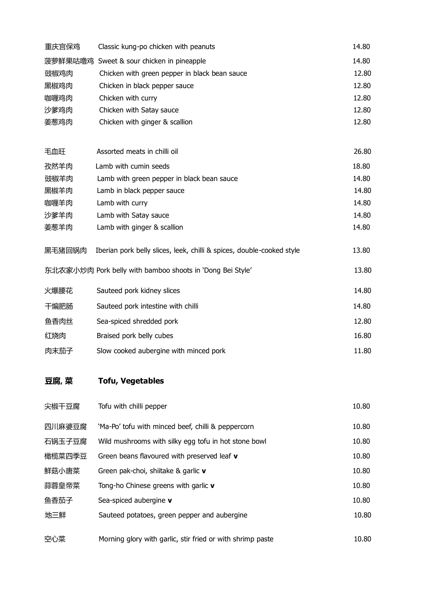| 豆腐, 菜   | <b>Tofu, Vegetables</b>                                               |       |
|---------|-----------------------------------------------------------------------|-------|
| 肉末茄子    | Slow cooked aubergine with minced pork                                | 11.80 |
| 红烧肉     | Braised pork belly cubes                                              | 16.80 |
| 鱼香肉丝    | Sea-spiced shredded pork                                              | 12.80 |
| 干煸肥肠    | Sauteed pork intestine with chilli                                    | 14.80 |
| 火爆腰花    | Sauteed pork kidney slices                                            | 14.80 |
|         | 东北农家小炒肉 Pork belly with bamboo shoots in 'Dong Bei Style'             | 13.80 |
| 黑毛猪回锅肉  | Iberian pork belly slices, leek, chilli & spices, double-cooked style | 13.80 |
| 姜葱羊肉    | Lamb with ginger & scallion                                           | 14.80 |
| 沙爹羊肉    | Lamb with Satay sauce                                                 | 14.80 |
| 咖喱羊肉    | Lamb with curry                                                       | 14.80 |
| 黑椒羊肉    | Lamb in black pepper sauce                                            | 14.80 |
| 豉椒羊肉    | Lamb with green pepper in black bean sauce                            | 14.80 |
| 孜然羊肉    | Lamb with cumin seeds                                                 | 18.80 |
| 毛血旺     | Assorted meats in chilli oil                                          | 26.80 |
| 姜葱鸡肉    | Chicken with ginger & scallion                                        | 12.80 |
| 沙爹鸡肉    | Chicken with Satay sauce                                              | 12.80 |
| 咖喱鸡肉    | Chicken with curry                                                    | 12.80 |
| 黑椒鸡肉    | Chicken in black pepper sauce                                         | 12.80 |
| 豉椒鸡肉    | Chicken with green pepper in black bean sauce                         | 12.80 |
| 菠萝鲜果咕噜鸡 | Sweet & sour chicken in pineapple                                     | 14.80 |
| 重庆宫保鸡   | Classic kung-po chicken with peanuts                                  | 14.80 |

| 尖椒干豆腐  | Tofu with chilli pepper                                    | 10.80 |
|--------|------------------------------------------------------------|-------|
| 四川麻婆豆腐 | 'Ma-Po' tofu with minced beef, chilli & peppercorn         | 10.80 |
| 石锅玉子豆腐 | Wild mushrooms with silky egg tofu in hot stone bowl       | 10.80 |
| 橄榄菜四季豆 | Green beans flavoured with preserved leaf v                | 10.80 |
| 鲜菇小唐菜  | Green pak-choi, shiitake & garlic v                        | 10.80 |
| 蒜蓉皇帝菜  | Tong-ho Chinese greens with garlic v                       | 10.80 |
| 鱼香茄子   | Sea-spiced aubergine v                                     | 10.80 |
| 地三鲜    | Sauteed potatoes, green pepper and aubergine               | 10.80 |
| 空心菜    | Morning glory with garlic, stir fried or with shrimp paste | 10.80 |